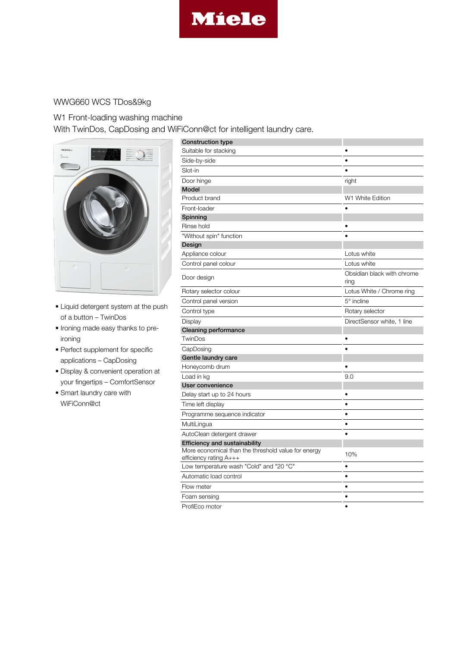

## WWG660 WCS TDos&9kg

## W1 Front-loading washing machine

With TwinDos, CapDosing and WiFiConn@ct for intelligent laundry care.



- Liquid detergent system at the push of a button – TwinDos
- Ironing made easy thanks to preironing
- Perfect supplement for specific applications – CapDosing
- Display & convenient operation at your fingertips – ComfortSensor
- Smart laundry care with WiFiConn@ct

| <b>Construction type</b>                                                           |                                    |
|------------------------------------------------------------------------------------|------------------------------------|
| Suitable for stacking                                                              |                                    |
| Side-by-side                                                                       | $\bullet$                          |
| Slot-in                                                                            |                                    |
| Door hinge                                                                         | right                              |
| Model                                                                              |                                    |
| Product brand                                                                      | W1 White Edition                   |
| Front-loader                                                                       |                                    |
| Spinning                                                                           |                                    |
| Rinse hold                                                                         |                                    |
| "Without spin" function                                                            |                                    |
| Design                                                                             |                                    |
| Appliance colour                                                                   | Lotus white                        |
| Control panel colour                                                               | Lotus white                        |
| Door design                                                                        | Obsidian black with chrome<br>ring |
| Rotary selector colour                                                             | Lotus White / Chrome ring          |
| Control panel version                                                              | 5° incline                         |
| Control type                                                                       | Rotary selector                    |
| Display                                                                            | DirectSensor white, 1 line         |
| Cleaning performance                                                               |                                    |
| TwinDos                                                                            |                                    |
| CapDosing                                                                          |                                    |
| Gentle laundry care                                                                |                                    |
| Honeycomb drum                                                                     |                                    |
| Load in kg                                                                         | 9.0                                |
| User convenience                                                                   |                                    |
| Delay start up to 24 hours                                                         |                                    |
| Time left display                                                                  | ٠                                  |
| Programme sequence indicator                                                       | ٠                                  |
| MultiLingua                                                                        | $\bullet$                          |
| AutoClean detergent drawer                                                         | $\bullet$                          |
| <b>Efficiency and sustainability</b>                                               |                                    |
| More economical than the threshold value for energy<br>efficiency rating $A_{+++}$ | 10%                                |
| Low temperature wash "Cold" and "20 °C"                                            | $\bullet$                          |
| Automatic load control                                                             | $\bullet$                          |
| Flow meter                                                                         | $\bullet$                          |
| Foam sensing                                                                       | $\bullet$                          |
| ProfiEco motor                                                                     |                                    |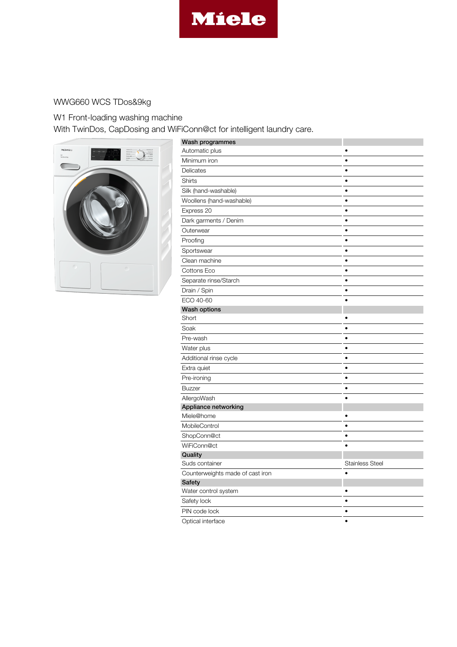

## WWG660 WCS TDos&9kg

W1 Front-loading washing machine With TwinDos, CapDosing and WiFiConn@ct for intelligent laundry care.



| Wash programmes                  |                        |
|----------------------------------|------------------------|
| Automatic plus                   |                        |
| Minimum iron                     | $\bullet$              |
| Delicates                        | ٠                      |
| Shirts                           | $\bullet$              |
| Silk (hand-washable)             | $\bullet$              |
| Woollens (hand-washable)         | $\bullet$              |
| Express 20                       | ٠                      |
| Dark garments / Denim            | $\bullet$              |
| Outerwear                        | ٠                      |
| Proofing                         | ٠                      |
| Sportswear                       | ٠                      |
| Clean machine                    | $\bullet$              |
| Cottons Eco                      | $\bullet$              |
| Separate rinse/Starch            | $\bullet$              |
| Drain / Spin                     | $\bullet$              |
| ECO 40-60                        |                        |
| <b>Wash options</b>              |                        |
| Short                            |                        |
| Soak                             | ٠                      |
| Pre-wash                         | $\bullet$              |
| Water plus                       | $\bullet$              |
| Additional rinse cycle           | $\bullet$              |
| Extra quiet                      | ٠                      |
| Pre-ironing                      | $\bullet$              |
| <b>Buzzer</b>                    | $\bullet$              |
| AllergoWash                      |                        |
| Appliance networking             |                        |
| Miele@home                       |                        |
| MobileControl                    | $\bullet$              |
| ShopConn@ct                      | $\bullet$              |
| WiFiConn@ct                      | $\bullet$              |
| Quality                          |                        |
| Suds container                   | <b>Stainless Steel</b> |
| Counterweights made of cast iron |                        |
| <b>Safety</b>                    |                        |
| Water control system             |                        |
| Safety lock                      | $\bullet$              |
| PIN code lock                    | $\bullet$              |
| Optical interface                | $\bullet$              |